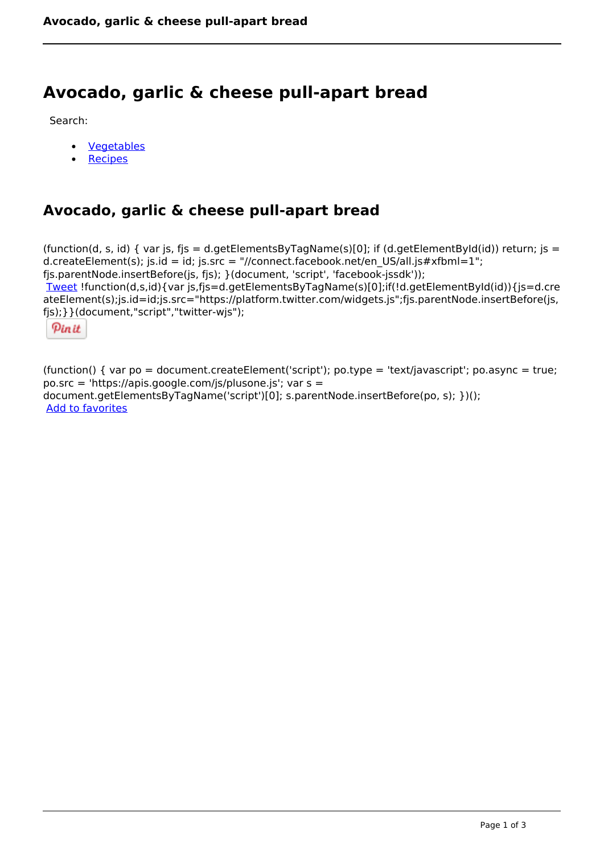# **Avocado, garlic & cheese pull-apart bread**

Search:

- **[Vegetables](https://www.naturalhealthmag.com.au/nourish/veg)**  $\bullet$
- **[Recipes](https://www.naturalhealthmag.com.au/nourish/recipes)**

## **Avocado, garlic & cheese pull-apart bread**

(function(d, s, id) { var js, fjs = d.getElementsByTagName(s)[0]; if (d.getElementById(id)) return; js = d.createElement(s); js.id = id; js.src = "//connect.facebook.net/en\_US/all.js#xfbml=1"; fjs.parentNode.insertBefore(js, fjs); }(document, 'script', 'facebook-jssdk')); [Tweet](https://twitter.com/share) !function(d,s,id){var js,fjs=d.getElementsByTagName(s)[0];if(!d.getElementById(id)){js=d.cre ateElement(s);js.id=id;js.src="https://platform.twitter.com/widgets.js";fjs.parentNode.insertBefore(js, fjs);}}(document,"script","twitter-wjs");

Pinit

(function() { var po = document.createElement('script'); po.type = 'text/javascript'; po.async = true; po.src = 'https://apis.google.com/js/plusone.js'; var s = document.getElementsByTagName('script')[0]; s.parentNode.insertBefore(po, s); })(); Add to favorites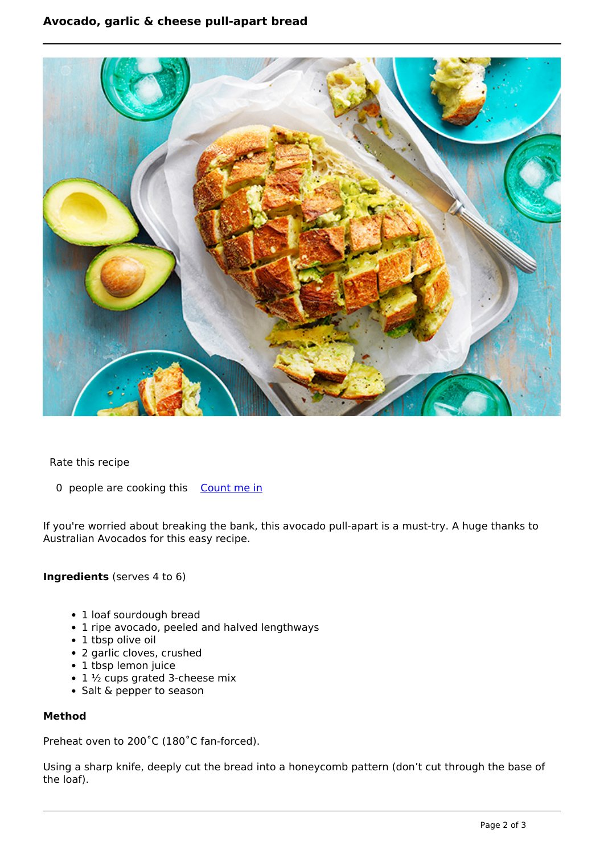### **Avocado, garlic & cheese pull-apart bread**



Rate this recipe

0 people are cooking this [Count me in](https://www.naturalhealthmag.com.au/flag/flag/favorites/2202?destination=printpdf%2F2202&token=98bd207a835d2c786b3741fa40c5400e)

If you're worried about breaking the bank, this avocado pull-apart is a must-try. A huge thanks to Australian Avocados for this easy recipe.

#### **Ingredients** (serves 4 to 6)

- 1 loaf sourdough bread
- 1 ripe avocado, peeled and halved lengthways
- 1 tbsp olive oil
- 2 garlic cloves, crushed
- 1 tbsp lemon juice
- $\cdot$  1  $\frac{1}{2}$  cups grated 3-cheese mix
- Salt & pepper to season

#### **Method**

Preheat oven to 200˚C (180˚C fan-forced).

Using a sharp knife, deeply cut the bread into a honeycomb pattern (don't cut through the base of the loaf).